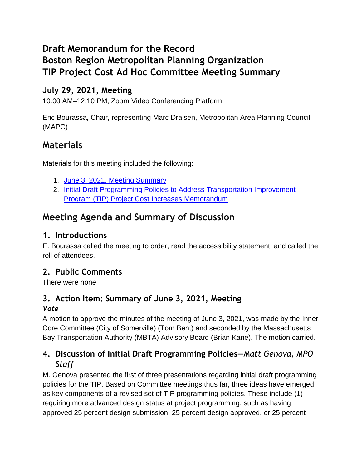# **Draft Memorandum for the Record Boston Region Metropolitan Planning Organization TIP Project Cost Ad Hoc Committee Meeting Summary**

# **July 29, 2021, Meeting**

10:00 AM–12:10 PM, Zoom Video Conferencing Platform

Eric Bourassa, Chair, representing Marc Draisen, Metropolitan Area Planning Council (MAPC)

# **Materials**

Materials for this meeting included the following:

- 1. June 3, 2021, [Meeting Summary](https://www.ctps.org/data/calendar/pdfs/2021/TIP_0729_Draft_Meeting_Summary_0603.pdf)
- 2. [Initial Draft Programming Policies to Address Transportation Improvement](https://www.ctps.org/data/calendar/pdfs/2021/TIP_0729_Draft_Initial_Programming_Policies_Memo.pdf)  [Program \(TIP\) Project Cost Increases](https://www.ctps.org/data/calendar/pdfs/2021/TIP_0729_Draft_Initial_Programming_Policies_Memo.pdf) Memorandum

# **Meeting Agenda and Summary of Discussion**

# **1. Introductions**

E. Bourassa called the meeting to order, read the accessibility statement, and called the roll of attendees.

# **2. Public Comments**

There were none

### **3. Action Item: Summary of June 3, 2021, Meeting** *Vote*

A motion to approve the minutes of the meeting of June 3, 2021, was made by the Inner Core Committee (City of Somerville) (Tom Bent) and seconded by the Massachusetts Bay Transportation Authority (MBTA) Advisory Board (Brian Kane). The motion carried.

# **4. Discussion of Initial Draft Programming Policies—***Matt Genova, MPO Staff*

M. Genova presented the first of three presentations regarding initial draft programming policies for the TIP. Based on Committee meetings thus far, three ideas have emerged as key components of a revised set of TIP programming policies. These include (1) requiring more advanced design status at project programming, such as having approved 25 percent design submission, 25 percent design approved, or 25 percent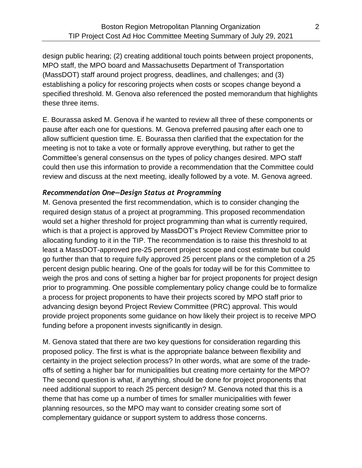design public hearing; (2) creating additional touch points between project proponents, MPO staff, the MPO board and Massachusetts Department of Transportation (MassDOT) staff around project progress, deadlines, and challenges; and (3) establishing a policy for rescoring projects when costs or scopes change beyond a specified threshold. M. Genova also referenced the posted memorandum that highlights these three items.

E. Bourassa asked M. Genova if he wanted to review all three of these components or pause after each one for questions. M. Genova preferred pausing after each one to allow sufficient question time. E. Bourassa then clarified that the expectation for the meeting is not to take a vote or formally approve everything, but rather to get the Committee's general consensus on the types of policy changes desired. MPO staff could then use this information to provide a recommendation that the Committee could review and discuss at the next meeting, ideally followed by a vote. M. Genova agreed.

#### *Recommendation One—Design Status at Programming*

M. Genova presented the first recommendation, which is to consider changing the required design status of a project at programming. This proposed recommendation would set a higher threshold for project programming than what is currently required, which is that a project is approved by MassDOT's Project Review Committee prior to allocating funding to it in the TIP. The recommendation is to raise this threshold to at least a MassDOT-approved pre-25 percent project scope and cost estimate but could go further than that to require fully approved 25 percent plans or the completion of a 25 percent design public hearing. One of the goals for today will be for this Committee to weigh the pros and cons of setting a higher bar for project proponents for project design prior to programming. One possible complementary policy change could be to formalize a process for project proponents to have their projects scored by MPO staff prior to advancing design beyond Project Review Committee (PRC) approval. This would provide project proponents some guidance on how likely their project is to receive MPO funding before a proponent invests significantly in design.

M. Genova stated that there are two key questions for consideration regarding this proposed policy. The first is what is the appropriate balance between flexibility and certainty in the project selection process? In other words, what are some of the tradeoffs of setting a higher bar for municipalities but creating more certainty for the MPO? The second question is what, if anything, should be done for project proponents that need additional support to reach 25 percent design? M. Genova noted that this is a theme that has come up a number of times for smaller municipalities with fewer planning resources, so the MPO may want to consider creating some sort of complementary guidance or support system to address those concerns.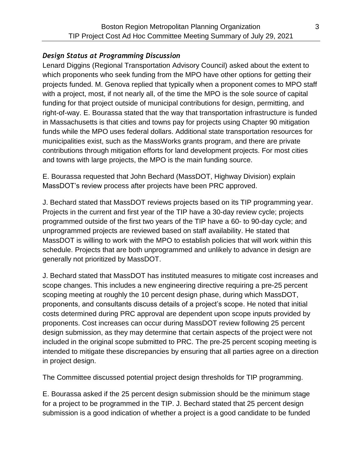#### *Design Status at Programming Discussion*

Lenard Diggins (Regional Transportation Advisory Council) asked about the extent to which proponents who seek funding from the MPO have other options for getting their projects funded. M. Genova replied that typically when a proponent comes to MPO staff with a project, most, if not nearly all, of the time the MPO is the sole source of capital funding for that project outside of municipal contributions for design, permitting, and right-of-way. E. Bourassa stated that the way that transportation infrastructure is funded in Massachusetts is that cities and towns pay for projects using Chapter 90 mitigation funds while the MPO uses federal dollars. Additional state transportation resources for municipalities exist, such as the MassWorks grants program, and there are private contributions through mitigation efforts for land development projects. For most cities and towns with large projects, the MPO is the main funding source.

E. Bourassa requested that John Bechard (MassDOT, Highway Division) explain MassDOT's review process after projects have been PRC approved.

J. Bechard stated that MassDOT reviews projects based on its TIP programming year. Projects in the current and first year of the TIP have a 30-day review cycle; projects programmed outside of the first two years of the TIP have a 60- to 90-day cycle; and unprogrammed projects are reviewed based on staff availability. He stated that MassDOT is willing to work with the MPO to establish policies that will work within this schedule. Projects that are both unprogrammed and unlikely to advance in design are generally not prioritized by MassDOT.

J. Bechard stated that MassDOT has instituted measures to mitigate cost increases and scope changes. This includes a new engineering directive requiring a pre-25 percent scoping meeting at roughly the 10 percent design phase, during which MassDOT, proponents, and consultants discuss details of a project's scope. He noted that initial costs determined during PRC approval are dependent upon scope inputs provided by proponents. Cost increases can occur during MassDOT review following 25 percent design submission, as they may determine that certain aspects of the project were not included in the original scope submitted to PRC. The pre-25 percent scoping meeting is intended to mitigate these discrepancies by ensuring that all parties agree on a direction in project design.

The Committee discussed potential project design thresholds for TIP programming.

E. Bourassa asked if the 25 percent design submission should be the minimum stage for a project to be programmed in the TIP. J. Bechard stated that 25 percent design submission is a good indication of whether a project is a good candidate to be funded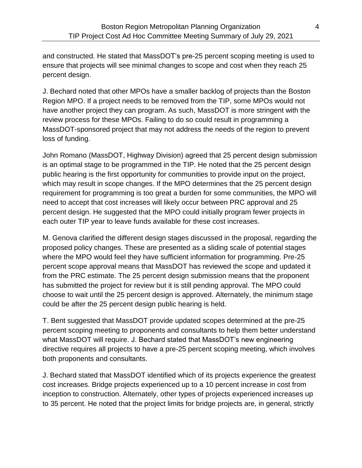and constructed. He stated that MassDOT's pre-25 percent scoping meeting is used to ensure that projects will see minimal changes to scope and cost when they reach 25 percent design.

J. Bechard noted that other MPOs have a smaller backlog of projects than the Boston Region MPO. If a project needs to be removed from the TIP, some MPOs would not have another project they can program. As such, MassDOT is more stringent with the review process for these MPOs. Failing to do so could result in programming a MassDOT-sponsored project that may not address the needs of the region to prevent loss of funding.

John Romano (MassDOT, Highway Division) agreed that 25 percent design submission is an optimal stage to be programmed in the TIP. He noted that the 25 percent design public hearing is the first opportunity for communities to provide input on the project, which may result in scope changes. If the MPO determines that the 25 percent design requirement for programming is too great a burden for some communities, the MPO will need to accept that cost increases will likely occur between PRC approval and 25 percent design. He suggested that the MPO could initially program fewer projects in each outer TIP year to leave funds available for these cost increases.

M. Genova clarified the different design stages discussed in the proposal, regarding the proposed policy changes. These are presented as a sliding scale of potential stages where the MPO would feel they have sufficient information for programming. Pre-25 percent scope approval means that MassDOT has reviewed the scope and updated it from the PRC estimate. The 25 percent design submission means that the proponent has submitted the project for review but it is still pending approval. The MPO could choose to wait until the 25 percent design is approved. Alternately, the minimum stage could be after the 25 percent design public hearing is held.

T. Bent suggested that MassDOT provide updated scopes determined at the pre-25 percent scoping meeting to proponents and consultants to help them better understand what MassDOT will require. J. Bechard stated that MassDOT's new engineering directive requires all projects to have a pre-25 percent scoping meeting, which involves both proponents and consultants.

J. Bechard stated that MassDOT identified which of its projects experience the greatest cost increases. Bridge projects experienced up to a 10 percent increase in cost from inception to construction. Alternately, other types of projects experienced increases up to 35 percent. He noted that the project limits for bridge projects are, in general, strictly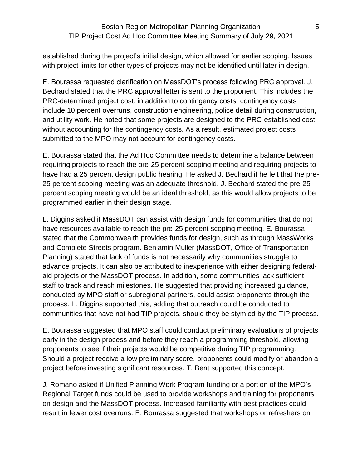established during the project's initial design, which allowed for earlier scoping. Issues with project limits for other types of projects may not be identified until later in design.

E. Bourassa requested clarification on MassDOT's process following PRC approval. J. Bechard stated that the PRC approval letter is sent to the proponent. This includes the PRC-determined project cost, in addition to contingency costs; contingency costs include 10 percent overruns, construction engineering, police detail during construction, and utility work. He noted that some projects are designed to the PRC-established cost without accounting for the contingency costs. As a result, estimated project costs submitted to the MPO may not account for contingency costs.

E. Bourassa stated that the Ad Hoc Committee needs to determine a balance between requiring projects to reach the pre-25 percent scoping meeting and requiring projects to have had a 25 percent design public hearing. He asked J. Bechard if he felt that the pre-25 percent scoping meeting was an adequate threshold. J. Bechard stated the pre-25 percent scoping meeting would be an ideal threshold, as this would allow projects to be programmed earlier in their design stage.

L. Diggins asked if MassDOT can assist with design funds for communities that do not have resources available to reach the pre-25 percent scoping meeting. E. Bourassa stated that the Commonwealth provides funds for design, such as through MassWorks and Complete Streets program. Benjamin Muller (MassDOT, Office of Transportation Planning) stated that lack of funds is not necessarily why communities struggle to advance projects. It can also be attributed to inexperience with either designing federalaid projects or the MassDOT process. In addition, some communities lack sufficient staff to track and reach milestones. He suggested that providing increased guidance, conducted by MPO staff or subregional partners, could assist proponents through the process. L. Diggins supported this, adding that outreach could be conducted to communities that have not had TIP projects, should they be stymied by the TIP process.

E. Bourassa suggested that MPO staff could conduct preliminary evaluations of projects early in the design process and before they reach a programming threshold, allowing proponents to see if their projects would be competitive during TIP programming. Should a project receive a low preliminary score, proponents could modify or abandon a project before investing significant resources. T. Bent supported this concept.

J. Romano asked if Unified Planning Work Program funding or a portion of the MPO's Regional Target funds could be used to provide workshops and training for proponents on design and the MassDOT process. Increased familiarity with best practices could result in fewer cost overruns. E. Bourassa suggested that workshops or refreshers on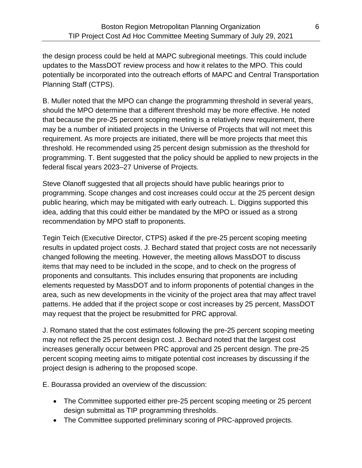the design process could be held at MAPC subregional meetings. This could include updates to the MassDOT review process and how it relates to the MPO. This could potentially be incorporated into the outreach efforts of MAPC and Central Transportation Planning Staff (CTPS).

B. Muller noted that the MPO can change the programming threshold in several years, should the MPO determine that a different threshold may be more effective. He noted that because the pre-25 percent scoping meeting is a relatively new requirement, there may be a number of initiated projects in the Universe of Projects that will not meet this requirement. As more projects are initiated, there will be more projects that meet this threshold. He recommended using 25 percent design submission as the threshold for programming. T. Bent suggested that the policy should be applied to new projects in the federal fiscal years 2023–27 Universe of Projects.

Steve Olanoff suggested that all projects should have public hearings prior to programming. Scope changes and cost increases could occur at the 25 percent design public hearing, which may be mitigated with early outreach. L. Diggins supported this idea, adding that this could either be mandated by the MPO or issued as a strong recommendation by MPO staff to proponents.

Tegin Teich (Executive Director, CTPS) asked if the pre-25 percent scoping meeting results in updated project costs. J. Bechard stated that project costs are not necessarily changed following the meeting. However, the meeting allows MassDOT to discuss items that may need to be included in the scope, and to check on the progress of proponents and consultants. This includes ensuring that proponents are including elements requested by MassDOT and to inform proponents of potential changes in the area, such as new developments in the vicinity of the project area that may affect travel patterns. He added that if the project scope or cost increases by 25 percent, MassDOT may request that the project be resubmitted for PRC approval.

J. Romano stated that the cost estimates following the pre-25 percent scoping meeting may not reflect the 25 percent design cost. J. Bechard noted that the largest cost increases generally occur between PRC approval and 25 percent design. The pre-25 percent scoping meeting aims to mitigate potential cost increases by discussing if the project design is adhering to the proposed scope.

E. Bourassa provided an overview of the discussion:

- The Committee supported either pre-25 percent scoping meeting or 25 percent design submittal as TIP programming thresholds.
- The Committee supported preliminary scoring of PRC-approved projects.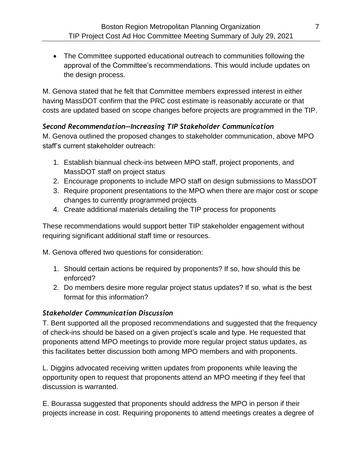The Committee supported educational outreach to communities following the approval of the Committee's recommendations. This would include updates on the design process.

M. Genova stated that he felt that Committee members expressed interest in either having MassDOT confirm that the PRC cost estimate is reasonably accurate or that costs are updated based on scope changes before projects are programmed in the TIP.

### *Second Recommendation—Increasing TIP Stakeholder Communication*

M. Genova outlined the proposed changes to stakeholder communication, above MPO staff's current stakeholder outreach:

- 1. Establish biannual check-ins between MPO staff, project proponents, and MassDOT staff on project status
- 2. Encourage proponents to include MPO staff on design submissions to MassDOT
- 3. Require proponent presentations to the MPO when there are major cost or scope changes to currently programmed projects
- 4. Create additional materials detailing the TIP process for proponents

These recommendations would support better TIP stakeholder engagement without requiring significant additional staff time or resources.

M. Genova offered two questions for consideration:

- 1. Should certain actions be required by proponents? If so, how should this be enforced?
- 2. Do members desire more regular project status updates? If so, what is the best format for this information?

### *Stakeholder Communication Discussion*

T. Bent supported all the proposed recommendations and suggested that the frequency of check-ins should be based on a given project's scale and type. He requested that proponents attend MPO meetings to provide more regular project status updates, as this facilitates better discussion both among MPO members and with proponents.

L. Diggins advocated receiving written updates from proponents while leaving the opportunity open to request that proponents attend an MPO meeting if they feel that discussion is warranted.

E. Bourassa suggested that proponents should address the MPO in person if their projects increase in cost. Requiring proponents to attend meetings creates a degree of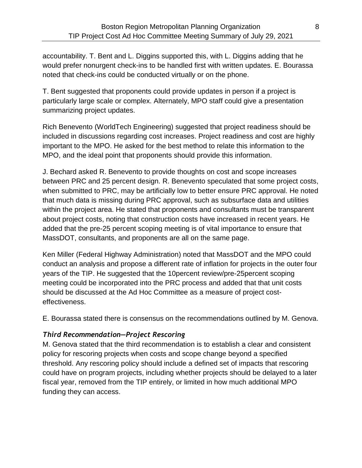accountability. T. Bent and L. Diggins supported this, with L. Diggins adding that he would prefer nonurgent check-ins to be handled first with written updates. E. Bourassa noted that check-ins could be conducted virtually or on the phone.

T. Bent suggested that proponents could provide updates in person if a project is particularly large scale or complex. Alternately, MPO staff could give a presentation summarizing project updates.

Rich Benevento (WorldTech Engineering) suggested that project readiness should be included in discussions regarding cost increases. Project readiness and cost are highly important to the MPO. He asked for the best method to relate this information to the MPO, and the ideal point that proponents should provide this information.

J. Bechard asked R. Benevento to provide thoughts on cost and scope increases between PRC and 25 percent design. R. Benevento speculated that some project costs, when submitted to PRC, may be artificially low to better ensure PRC approval. He noted that much data is missing during PRC approval, such as subsurface data and utilities within the project area. He stated that proponents and consultants must be transparent about project costs, noting that construction costs have increased in recent years. He added that the pre-25 percent scoping meeting is of vital importance to ensure that MassDOT, consultants, and proponents are all on the same page.

Ken Miller (Federal Highway Administration) noted that MassDOT and the MPO could conduct an analysis and propose a different rate of inflation for projects in the outer four years of the TIP. He suggested that the 10percent review/pre-25percent scoping meeting could be incorporated into the PRC process and added that that unit costs should be discussed at the Ad Hoc Committee as a measure of project costeffectiveness.

E. Bourassa stated there is consensus on the recommendations outlined by M. Genova.

### *Third Recommendation—Project Rescoring*

M. Genova stated that the third recommendation is to establish a clear and consistent policy for rescoring projects when costs and scope change beyond a specified threshold. Any rescoring policy should include a defined set of impacts that rescoring could have on program projects, including whether projects should be delayed to a later fiscal year, removed from the TIP entirely, or limited in how much additional MPO funding they can access.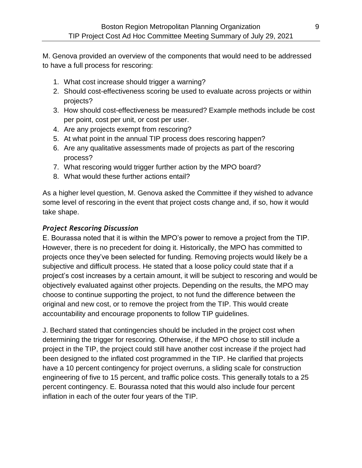M. Genova provided an overview of the components that would need to be addressed to have a full process for rescoring:

- 1. What cost increase should trigger a warning?
- 2. Should cost-effectiveness scoring be used to evaluate across projects or within projects?
- 3. How should cost-effectiveness be measured? Example methods include be cost per point, cost per unit, or cost per user.
- 4. Are any projects exempt from rescoring?
- 5. At what point in the annual TIP process does rescoring happen?
- 6. Are any qualitative assessments made of projects as part of the rescoring process?
- 7. What rescoring would trigger further action by the MPO board?
- 8. What would these further actions entail?

As a higher level question, M. Genova asked the Committee if they wished to advance some level of rescoring in the event that project costs change and, if so, how it would take shape.

#### *Project Rescoring Discussion*

E. Bourassa noted that it is within the MPO's power to remove a project from the TIP. However, there is no precedent for doing it. Historically, the MPO has committed to projects once they've been selected for funding. Removing projects would likely be a subjective and difficult process. He stated that a loose policy could state that if a project's cost increases by a certain amount, it will be subject to rescoring and would be objectively evaluated against other projects. Depending on the results, the MPO may choose to continue supporting the project, to not fund the difference between the original and new cost, or to remove the project from the TIP. This would create accountability and encourage proponents to follow TIP guidelines.

J. Bechard stated that contingencies should be included in the project cost when determining the trigger for rescoring. Otherwise, if the MPO chose to still include a project in the TIP, the project could still have another cost increase if the project had been designed to the inflated cost programmed in the TIP. He clarified that projects have a 10 percent contingency for project overruns, a sliding scale for construction engineering of five to 15 percent, and traffic police costs. This generally totals to a 25 percent contingency. E. Bourassa noted that this would also include four percent inflation in each of the outer four years of the TIP.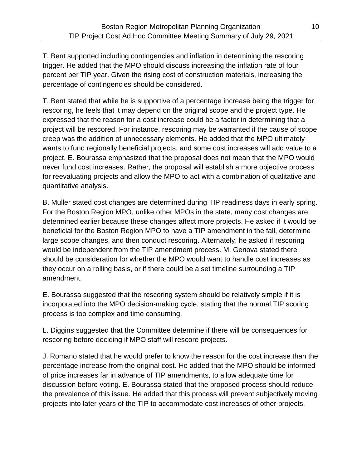T. Bent supported including contingencies and inflation in determining the rescoring trigger. He added that the MPO should discuss increasing the inflation rate of four percent per TIP year. Given the rising cost of construction materials, increasing the percentage of contingencies should be considered.

T. Bent stated that while he is supportive of a percentage increase being the trigger for rescoring, he feels that it may depend on the original scope and the project type. He expressed that the reason for a cost increase could be a factor in determining that a project will be rescored. For instance, rescoring may be warranted if the cause of scope creep was the addition of unnecessary elements. He added that the MPO ultimately wants to fund regionally beneficial projects, and some cost increases will add value to a project. E. Bourassa emphasized that the proposal does not mean that the MPO would never fund cost increases. Rather, the proposal will establish a more objective process for reevaluating projects and allow the MPO to act with a combination of qualitative and quantitative analysis.

B. Muller stated cost changes are determined during TIP readiness days in early spring. For the Boston Region MPO, unlike other MPOs in the state, many cost changes are determined earlier because these changes affect more projects. He asked if it would be beneficial for the Boston Region MPO to have a TIP amendment in the fall, determine large scope changes, and then conduct rescoring. Alternately, he asked if rescoring would be independent from the TIP amendment process. M. Genova stated there should be consideration for whether the MPO would want to handle cost increases as they occur on a rolling basis, or if there could be a set timeline surrounding a TIP amendment.

E. Bourassa suggested that the rescoring system should be relatively simple if it is incorporated into the MPO decision-making cycle, stating that the normal TIP scoring process is too complex and time consuming.

L. Diggins suggested that the Committee determine if there will be consequences for rescoring before deciding if MPO staff will rescore projects.

J. Romano stated that he would prefer to know the reason for the cost increase than the percentage increase from the original cost. He added that the MPO should be informed of price increases far in advance of TIP amendments, to allow adequate time for discussion before voting. E. Bourassa stated that the proposed process should reduce the prevalence of this issue. He added that this process will prevent subjectively moving projects into later years of the TIP to accommodate cost increases of other projects.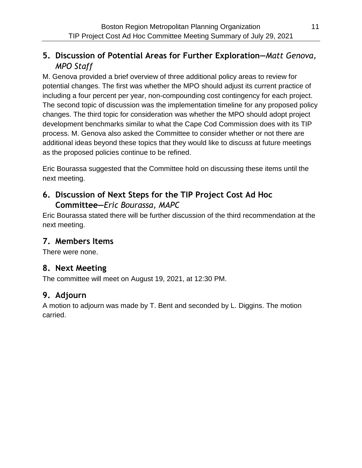# **5. Discussion of Potential Areas for Further Exploration—***Matt Genova, MPO Staff*

M. Genova provided a brief overview of three additional policy areas to review for potential changes. The first was whether the MPO should adjust its current practice of including a four percent per year, non-compounding cost contingency for each project. The second topic of discussion was the implementation timeline for any proposed policy changes. The third topic for consideration was whether the MPO should adopt project development benchmarks similar to what the Cape Cod Commission does with its TIP process. M. Genova also asked the Committee to consider whether or not there are additional ideas beyond these topics that they would like to discuss at future meetings as the proposed policies continue to be refined.

Eric Bourassa suggested that the Committee hold on discussing these items until the next meeting.

### **6. Discussion of Next Steps for the TIP Project Cost Ad Hoc Committee—***Eric Bourassa, MAPC*

Eric Bourassa stated there will be further discussion of the third recommendation at the next meeting.

# **7. Members Items**

There were none.

# **8. Next Meeting**

The committee will meet on August 19, 2021, at 12:30 PM.

# **9. Adjourn**

A motion to adjourn was made by T. Bent and seconded by L. Diggins. The motion carried.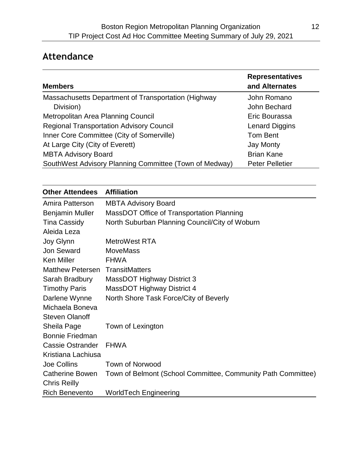# **Attendance**

| <b>Members</b>                                         | <b>Representatives</b><br>and Alternates |
|--------------------------------------------------------|------------------------------------------|
| Massachusetts Department of Transportation (Highway    | John Romano                              |
| Division)                                              | John Bechard                             |
| Metropolitan Area Planning Council                     | Eric Bourassa                            |
| <b>Regional Transportation Advisory Council</b>        | Lenard Diggins                           |
| Inner Core Committee (City of Somerville)              | Tom Bent                                 |
| At Large City (City of Everett)                        | <b>Jay Monty</b>                         |
| <b>MBTA Advisory Board</b>                             | <b>Brian Kane</b>                        |
| SouthWest Advisory Planning Committee (Town of Medway) | <b>Peter Pelletier</b>                   |

| <b>Other Attendees</b>                 | <b>Affiliation</b>                                           |
|----------------------------------------|--------------------------------------------------------------|
| Amira Patterson                        | <b>MBTA Advisory Board</b>                                   |
| <b>Benjamin Muller</b>                 | MassDOT Office of Transportation Planning                    |
| <b>Tina Cassidy</b>                    | North Suburban Planning Council/City of Woburn               |
| Aleida Leza                            |                                                              |
| Joy Glynn                              | <b>MetroWest RTA</b>                                         |
| <b>Jon Seward</b>                      | <b>MoveMass</b>                                              |
| <b>Ken Miller</b>                      | <b>FHWA</b>                                                  |
| <b>Matthew Petersen TransitMatters</b> |                                                              |
| Sarah Bradbury                         | <b>MassDOT Highway District 3</b>                            |
| <b>Timothy Paris</b>                   | MassDOT Highway District 4                                   |
| Darlene Wynne                          | North Shore Task Force/City of Beverly                       |
| Michaela Boneva                        |                                                              |
| <b>Steven Olanoff</b>                  |                                                              |
| Sheila Page                            | Town of Lexington                                            |
| <b>Bonnie Friedman</b>                 |                                                              |
| <b>Cassie Ostrander</b>                | <b>FHWA</b>                                                  |
| Kristiana Lachiusa                     |                                                              |
| Joe Collins                            | Town of Norwood                                              |
| Catherine Bowen                        | Town of Belmont (School Committee, Community Path Committee) |
| <b>Chris Reilly</b>                    |                                                              |
| <b>Rich Benevento</b>                  | <b>WorldTech Engineering</b>                                 |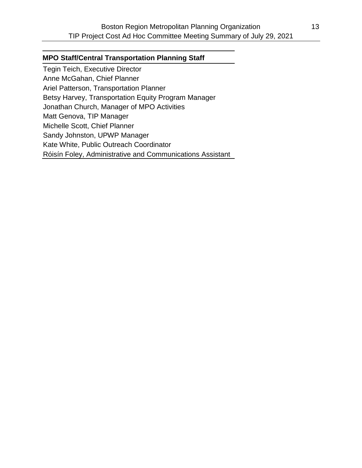#### **MPO Staff/Central Transportation Planning Staff**

Tegin Teich, Executive Director Anne McGahan, Chief Planner Ariel Patterson, Transportation Planner Betsy Harvey, Transportation Equity Program Manager Jonathan Church, Manager of MPO Activities Matt Genova, TIP Manager Michelle Scott, Chief Planner Sandy Johnston, UPWP Manager Kate White, Public Outreach Coordinator Róisín Foley, Administrative and Communications Assistant